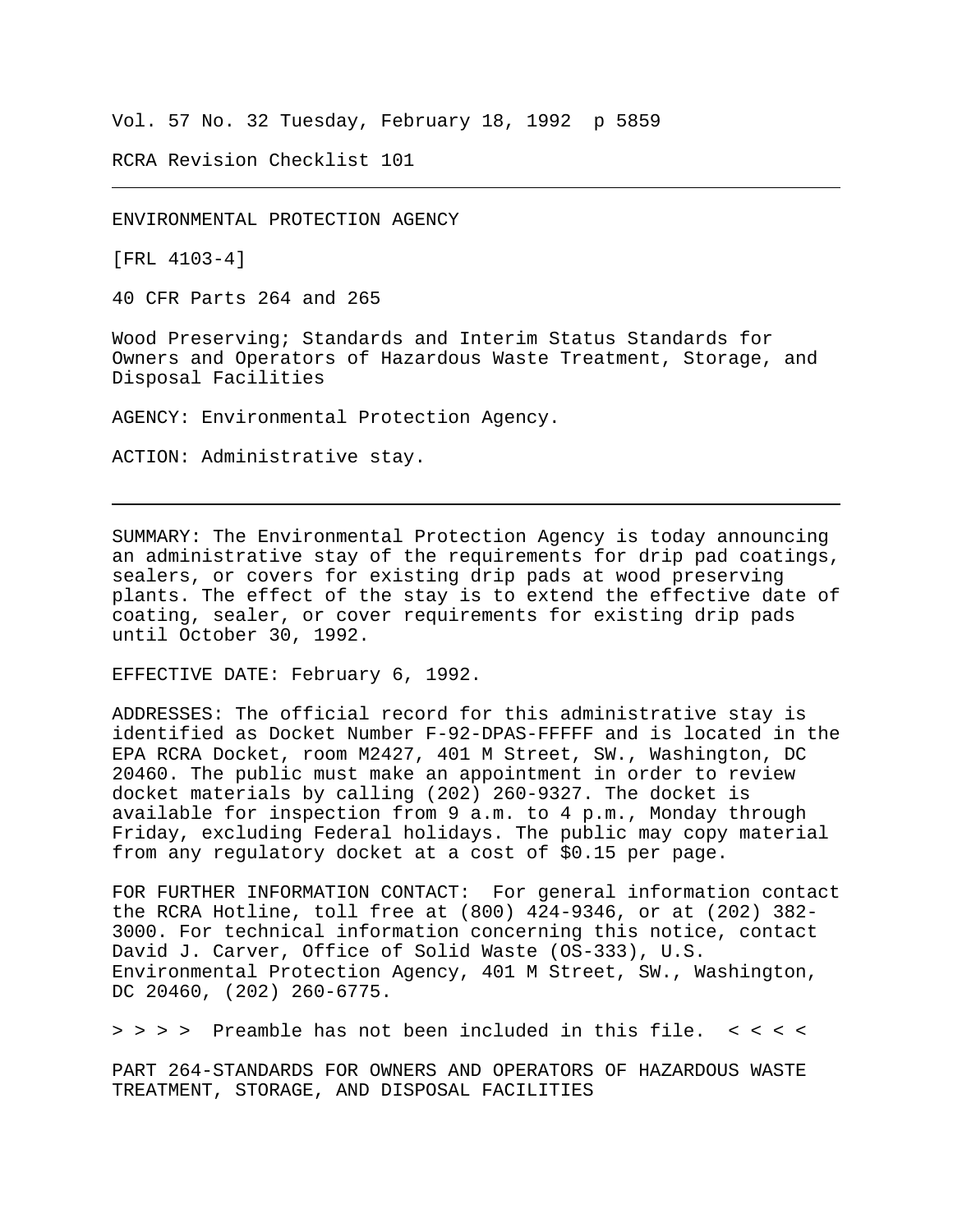Vol. 57 No. 32 Tuesday, February 18, 1992 p 5859

RCRA Revision Checklist 101

ENVIRONMENTAL PROTECTION AGENCY

[FRL 4103-4]

40 CFR Parts 264 and 265

Wood Preserving; Standards and Interim Status Standards for Owners and Operators of Hazardous Waste Treatment, Storage, and Disposal Facilities

AGENCY: Environmental Protection Agency.

ACTION: Administrative stay.

SUMMARY: The Environmental Protection Agency is today announcing an administrative stay of the requirements for drip pad coatings, sealers, or covers for existing drip pads at wood preserving plants. The effect of the stay is to extend the effective date of coating, sealer, or cover requirements for existing drip pads until October 30, 1992.

EFFECTIVE DATE: February 6, 1992.

ADDRESSES: The official record for this administrative stay is identified as Docket Number F-92-DPAS-FFFFF and is located in the EPA RCRA Docket, room M2427, 401 M Street, SW., Washington, DC 20460. The public must make an appointment in order to review docket materials by calling (202) 260-9327. The docket is available for inspection from 9 a.m. to 4 p.m., Monday through Friday, excluding Federal holidays. The public may copy material from any regulatory docket at a cost of \$0.15 per page.

FOR FURTHER INFORMATION CONTACT: For general information contact the RCRA Hotline, toll free at (800) 424-9346, or at (202) 382- 3000. For technical information concerning this notice, contact David J. Carver, Office of Solid Waste (OS-333), U.S. Environmental Protection Agency, 401 M Street, SW., Washington, DC 20460, (202) 260-6775.

> > > > Preamble has not been included in this file. < < < <

PART 264-STANDARDS FOR OWNERS AND OPERATORS OF HAZARDOUS WASTE TREATMENT, STORAGE, AND DISPOSAL FACILITIES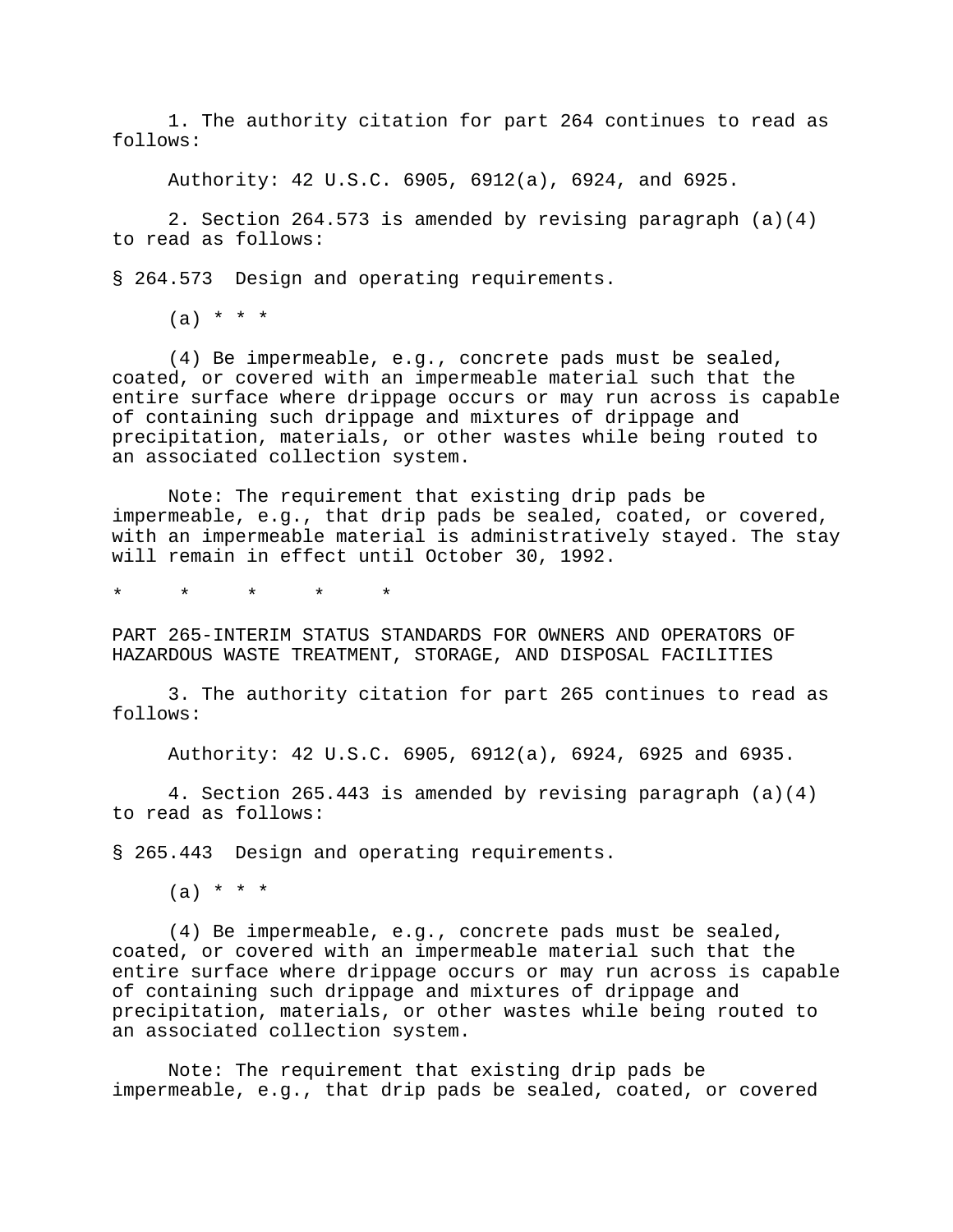1. The authority citation for part 264 continues to read as follows:

Authority: 42 U.S.C. 6905, 6912(a), 6924, and 6925.

2. Section 264.573 is amended by revising paragraph (a)(4) to read as follows:

§ 264.573 Design and operating requirements.

 $(a) * * * *$ 

(4) Be impermeable, e.g., concrete pads must be sealed, coated, or covered with an impermeable material such that the entire surface where drippage occurs or may run across is capable of containing such drippage and mixtures of drippage and precipitation, materials, or other wastes while being routed to an associated collection system.

Note: The requirement that existing drip pads be impermeable, e.g., that drip pads be sealed, coated, or covered, with an impermeable material is administratively stayed. The stay will remain in effect until October 30, 1992.

\* \* \* \* \*

PART 265-INTERIM STATUS STANDARDS FOR OWNERS AND OPERATORS OF HAZARDOUS WASTE TREATMENT, STORAGE, AND DISPOSAL FACILITIES

3. The authority citation for part 265 continues to read as follows:

Authority: 42 U.S.C. 6905, 6912(a), 6924, 6925 and 6935.

4. Section 265.443 is amended by revising paragraph (a)(4) to read as follows:

§ 265.443 Design and operating requirements.

 $(a) * * * *$ 

(4) Be impermeable, e.g., concrete pads must be sealed, coated, or covered with an impermeable material such that the entire surface where drippage occurs or may run across is capable of containing such drippage and mixtures of drippage and precipitation, materials, or other wastes while being routed to an associated collection system.

Note: The requirement that existing drip pads be impermeable, e.g., that drip pads be sealed, coated, or covered